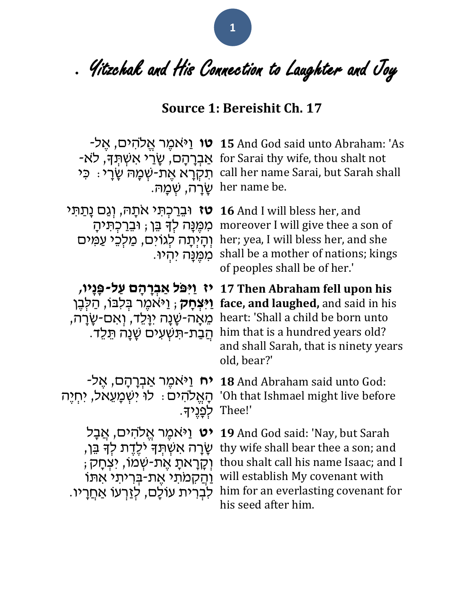• Yitzchak and His Connection to Laughter and Joy

#### **Source 1: Bereishit Ch. 17**

her name be. שָׂרָה, שְׁמָה.

**טז** וּבֵרַכְתִּי אתָהּ, וְגַם נָתַתִּי **16** And I will bless her, and

לְפָנֶיָך. Thee!'

**טו** וַי ֹּאמֶ ר אֱ ֹלהִ ים, אֶ ל- **15** And God said unto Abraham: 'As -אַבְרָהָם, שָׂרַי אִשְׁתְּךָ, לֹאַ $\;$  for Sarai thy wife, thou shalt not י: כִּי call her name Sarai, but Sarah shall

מִמֶּנָּה לְדָּ בֵּן; וּבֵרַכְתִּיהָ moreover I will give thee a son of ּוְהָיְתָה לְגוֹיִם, מַלְכֵי עַמִּים her; yea, I will bless her, and she ּ מִכְּוֹבָה יִהְיוּ. shall be a mother of nations; kings of peoples shall be of her.'

**יז ַו ִּי ֹּפל ַא ְבָר ָהם ַעל-פָנָיו, 17 Then Abraham fell upon his יִיצְחָק; וַיּא**מֶר בְּלִבּוֹ, הַלְבֶן **face, and laughed,** and said in his ּמֵאָה-שָׁנָה יִוְּלֵד, וְאִם-שָׂרָה, heart: 'Shall a child be born unto . הַבַרת-תִּשְׁעִים שָׁנָה תֵּלֵד. him that is a hundred years old? and shall Sarah, that is ninety years old, bear?'

**יח** וַי ֹּאמֶ ר אַ בְ רָ הָ ם, אֶ ל- **18** And Abraham said unto God: ּהְאֱלֹהִיּם : לוֹ יִשְׁמָעֵאֹל, יִחְיֶה 'Oh that Ishmael might live before

**יט** וַיּאמֶר אֱלֹהִים, אֲבָל **19** And God said: 'Nay, but Sarah ּטְרָה אִשְׁתְּךָ יֹלֶדֶת לְדְּ בֵּן, thy wife shall bear thee a son; and ; יִצְחָק; יֹאֲת-שְׁמֹו, יִצְחָק thou shalt call his name Isaac; and I וְהַקְמֹתִי אֶת-בְּרִיתי אִתּוֹ will establish My covenant with . לִבְרִית עוֹלָם, לְזַרְעוֹ אַחֲרָיו him for an everlasting covenant for his seed after him.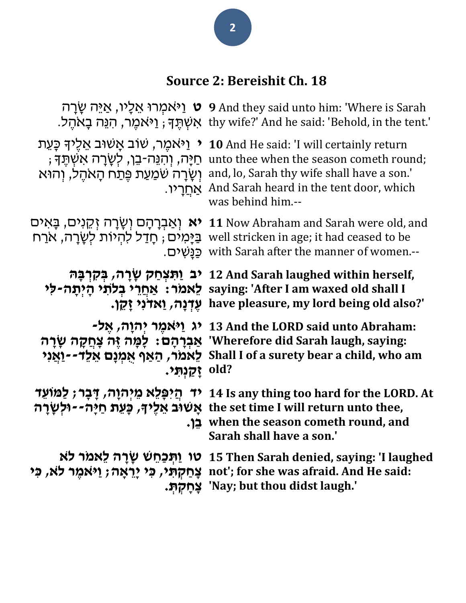# **Source 2: Bereishit Ch. 18**

|                                                                                                                                   | פ ט וַיֹּאמְרוּ אֵלָיו, אַיֵּה שַׂרַה O And they said unto him: 'Where is Sarah<br>:לאמֵר, הנֶה בַאהֵל thy wife?' And he said: 'Behold, in the tent אָשְׁתֵּךְ ; וַיֹּאמֵר, הנֶה בַאהֵל                                       |
|-----------------------------------------------------------------------------------------------------------------------------------|-------------------------------------------------------------------------------------------------------------------------------------------------------------------------------------------------------------------------------|
| י ניאמֱר, שׂוב אַשׁוּב אֱלֵיד כַּעֵת ∙<br>ְחַיָּה, וְהִנֵּה-בֵן, לְשָׂרָה אִשְׁתֵּךְ ;<br>וְשָׂרָה שֹׁמַעַת פֵּתַח הָאהֶל, וְהוּא | 10 And He said: 'I will certainly return<br>unto thee when the season cometh round;<br>and, lo, Sarah thy wife shall have a son.'<br><u>אַחֲ</u> רָיו. And Sarah heard in the tent door, which<br>was behind him.--           |
|                                                                                                                                   | יאַבְרָהָם וְשָׂרָה זְקֵנים, בָּאִים Mow Abraham and Sarah were old, and<br>בַּיָּמִים ; חָדַל להִיוֹת לְשָׂרָה, א <u>ר</u> ח well stricken in age; it had ceased to be<br>_with Sarah after the manner of women. כַּנַשִׁים. |
|                                                                                                                                   | יב וַתִּצְחַק שָרָה, בִּקְרְבָּה 12 And Sarah laughed within herself,<br>saying: 'After I am waxed old shall I לאמר: אַחֲרֵי בְלֹתֵי הָיִתָּה-לִי                                                                             |
|                                                                                                                                   | יְאָדנִי זָקֵן. have pleasure, my lord being old also?'                                                                                                                                                                       |
| ַיַּקַנְתּי.                                                                                                                      | י 13 And the LORD said unto Abraham: ג וַיאמֵר יִהוַה, אֵל־<br>אַבְרָהָם: לָמָּה זֶּה צְחֲקָה שְׁרָה 'Wherefore did Sarah laugh, saying:<br>יַאֲנִי Shall I of a surety bear a child, who am<br>old?                          |
| יד הַיפָּלֵא מֵיִהוָה, דָּבָר; לַמּוֹעֵד<br>אַשׁוּב אֵלֵיךּ, כַּעֲת חַיַּה--וּלִשֲרַה<br>בו.                                      | 14 Is any thing too hard for the LORD. At<br>the set time I will return unto thee,<br>when the season cometh round, and<br>Sarah shall have a son.'                                                                           |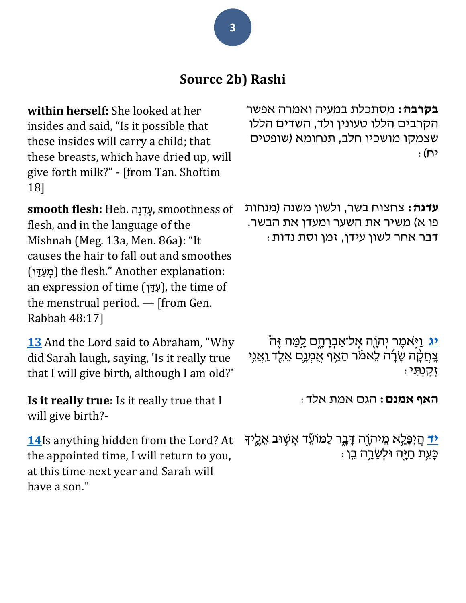### **Source 2b) Rashi**

**within herself:** She looked at her insides and said, "Is it possible that these insides will carry a child; that these breasts, which have dried up, will give forth milk?" - [from Tan. Shoftim 18]

**smooth flesh:** Heb. הָנ ְד ֶע, smoothness of flesh, and in the language of the Mishnah (Meg. 13a, Men. 86a): "It causes the hair to fall out and smoothes (מְעֵדֵן) the flesh." Another explanation: an expression of time (עְדָּן), the time of the menstrual period. — [from Gen. Rabbah 48:17]

**[13](https://www.chabad.org/library/bible_cdo/aid/8213/showrashi/true#v13)** And the Lord said to Abraham, "Why did Sarah laugh, saying, 'Is it really true that I will give birth, although I am old?'

**Is it really true:** Is it really true that I will give birth?-

**[14](https://www.chabad.org/library/bible_cdo/aid/8213/showrashi/true#v14)**Is anything hidden from the Lord? At the appointed time, I will return to you, at this time next year and Sarah will have a son."

**בקרבה:** מסתכלת במעיה ואמרה אפשר הקרבים הללו טעונין ולד, השדים הללו שצמקו מושכין חלב, תנחומא )שופטים : יח)

**עדנה:** צחצוח בשר, ולשון משנה )מנחות פו א) משיר את השער ומעדן את הבשר. דבר אחר לשון עידן, זמן וסת נדות:

**[יג](https://www.chabad.org/library/bible_cdo/aid/8213/showrashi/true#v13)** וַי ֹּ אמֶ ר יְהֹוָ ה אֶ ל־אַ בְ רָ הָ ם לָ מָ ה זֶה צִתְקָה שָׂרָה לֵאמֹר הַאַף אִמְנֶם אֵלֵד וַאֲנִי זָקַ ָֽ נְתִ י:

**האף אמנם:** הגם אמת אלד:

**ִ[יד](https://www.chabad.org/library/bible_cdo/aid/8213/showrashi/true#v14)ַ** הֲיִפָּלֵא מֵיתוֶה דָּבֶר לַמּוֹעֵّד אָשָׁוּב אֵלֶיִד ּכַּעֵת חַיַּה וּלְשַׂרֵה בֵן ּ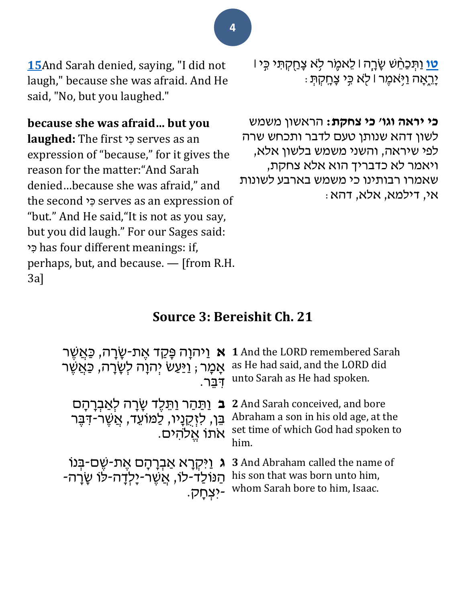**[15](https://www.chabad.org/library/bible_cdo/aid/8213/showrashi/true#v15)**And Sarah denied, saying, "I did not laugh," because she was afraid. And He said, "No, but you laughed."

#### **because she was afraid… but you**

**laughed:** The first כִּי serves as an expression of "because," for it gives the reason for the matter:"And Sarah denied…because she was afraid," and the second כֵּי serves as an expression of "but." And He said,"It is not as you say, but you did laugh." For our Sages said: י ִכ has four different meanings: if, perhaps, but, and because. — [from R.H. 3a]

ר ל<sup>ָ</sup>א צְחַקְתִּי כִּי | לֵאמֶׂר לָֹּא צָחַקְתִּי כִּי | יָרֵאָה וַיְּאמֵר *ו לְא בְּי* צָחֶקְתָּ

**כי יראה וגו' כי צחקת:** הראשון משמש לשון דהא שנותן טעם לדבר ותכחש שרה לפי שיראה, והשני משמש בלשון אלא, ויאמר לא כדבריך הוא אלא צחקת, שאמרו רבותינו כי משמש בארבע לשונות אי, דילמא, אלא, דהא:

#### **Source 3: Bereishit Ch. 21**

| <b>א</b> וַיֹּהוָה פָּקַד אֶת-שָׂרָה, כַּאֲשֶׁר<br>אָמָר , <u>ו</u> יַּעַשׂ יִהוָה לִשָּׂרָה, כַּאֲשֶׁר<br>דבר. | 1 And the LORD remembered Sarah<br>as He had said, and the LORD did<br>unto Sarah as He had spoken.                                                            |
|-----------------------------------------------------------------------------------------------------------------|----------------------------------------------------------------------------------------------------------------------------------------------------------------|
| בֵּן, לַזְקֵנָיו, לַמּוֹעֵד, אֲשֶׁר-דִּבֶּר<br>אתו אֱלהים.                                                      | 2 And Sarah conceived, and bore בּ וַתַּהַר וַתֵּלֶד שָׂרָה לְאַבְרָהָם<br>Abraham a son in his old age, at the<br>set time of which God had spoken to<br>him. |
| ג וַיִּקְרָא אַבְרָהָם אֶת-שֶׁם-בְּנוֹ<br>הַנּוֹלַד-לוֹ, אֲשֶׁר-יָלְדָה-לוֹ שָׂרָה-<br>-יצחק.                   | 3 And Abraham called the name of<br>his son that was born unto him,<br>whom Sarah bore to him, Isaac.                                                          |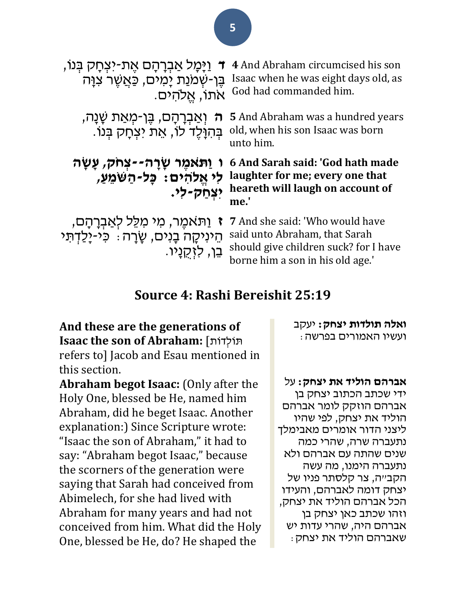| ַוַיָּמָל אַבְרָהָם אֵת-יצְחָק בִּנוֹ,<br>$\mathbf{T}$<br>בֵּן-שְׁמַנַת יָמִים, כַּאֲשֶׁר צִוָּה<br>אתו, אֱלהים.       | 4 And Abraham circumcised his son<br>Isaac when he was eight days old, as<br>God had commanded him.                                                 |
|------------------------------------------------------------------------------------------------------------------------|-----------------------------------------------------------------------------------------------------------------------------------------------------|
| <del>ָה</del> וְאַבְרָהָם, בֶּן-מְאַת שָׁנָה,<br>בְּהִוָּלֵד לוֹ, אֵת יצְחַק בִּנוֹ.                                   | <b>5</b> And Abraham was a hundred years<br>old, when his son Isaac was born<br>unto him.                                                           |
| ו וַתֹּאמֶר שְׂרָה--צְחֹק, עָשָׂה<br>לי אֱלהים: כָּל-הַשִּׁמְעַ,<br>יצחק-לי.                                           | 6 And Sarah said: 'God hath made<br>laughter for me; every one that<br>heareth will laugh on account of<br>me.                                      |
| ַוַּתֹּאמֶר, מִי מִלֵּל לְאַבְרָהָם,<br>$\sqrt{ }$<br>הֵינִיקֲה בָנִים, שָׂרָה ִּ כִּי-יָלַדְתִּי<br>ְבֵן, לְזָקְנַיו. | <b>7</b> And she said: 'Who would have<br>said unto Abraham, that Sarah<br>should give children suck? for I have<br>borne him a son in his old age. |

#### **Source 4: Rashi Bereishit 25:19**

**And these are the generations of Isaac the son of Abraham:** [ותֹדְולֹת refers to] Jacob and Esau mentioned in this section.

**Abraham begot Isaac:** (Only after the Holy One, blessed be He, named him Abraham, did he beget Isaac. Another explanation:) Since Scripture wrote: "Isaac the son of Abraham," it had to say: "Abraham begot Isaac," because the scorners of the generation were saying that Sarah had conceived from Abimelech, for she had lived with Abraham for many years and had not conceived from him. What did the Holy One, blessed be He, do? He shaped the

**ואלה תולדות יצחק:** יעקב ועשיו האמורים בפרשה:

**אברהם הוליד את יצחק:** על ידי שכתב הכתוב יצחק בן אברהם הוזקק לומר אברהם הוליד את יצחק, לפי שהיו ליצני הדור אומרים מאבימלך נתעברה שרה, שהרי כמה שנים שהתה עם אברהם ולא נתעברה הימנו, מה עשה הקב״ה, צר קלסתר פניו של יצחק דומה לאברהם, והעידו הכל אברהם הוליד את יצחק, וזהו שכתב כאן יצחק בן אברהם היה, שהרי עדות יש שאברהם הוליד את יצחק: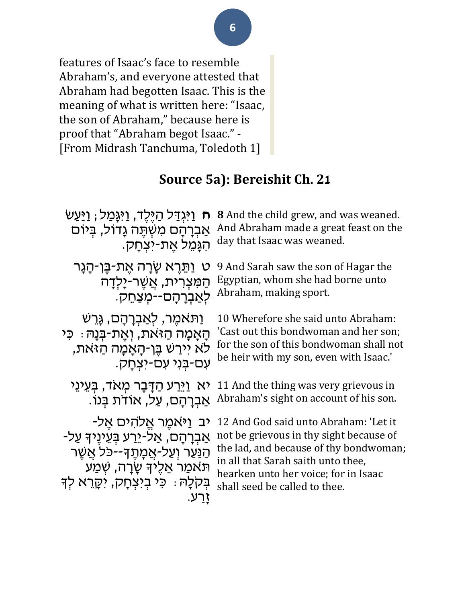features of Isaac's face to resemble Abraham's, and everyone attested that Abraham had begotten Isaac. This is the meaning of what is written here: "Isaac, the son of Abraham," because here is proof that "Abraham begot Isaac." - [From Midrash Tanchuma, Toledoth 1]

### **Source 5a): Bereishit Ch. 21**

| ח וַיּגְדַל הַיֵּלֶד, וַיּגַּמַל; וַיַּעַשׁ   | <b>8</b> And the child grew, and was weaned. |
|-----------------------------------------------|----------------------------------------------|
| אַבְרָהָם מִשְׁתֵּה גָדוֹל, בִּיוֹם           | And Abraham made a great feast on the        |
| ּהגַּמֵל אַת-יצְחַק.                          | day that Isaac was weaned.                   |
| ט וַתֵּרֵא שַׂרַה אֵת-בֵּן-הַגַּר             | 9 And Sarah saw the son of Hagar the         |
| ּהַמִּצְרִית, אֲשֶׁר-יָלְדָה                  | Egyptian, whom she had borne unto            |
| לְאַבְרָהָם--מִצַּחֵק.                        | Abraham, making sport.                       |
| וַתּאמֵר, לְאַבְרָהָם, גָּרֵשׁ                | 10 Wherefore she said unto Abraham:          |
| ּהָאָמָה הַזּאת, וְאֵת-בִּנָהּ: כִּי          | 'Cast out this bondwoman and her son;        |
| לא יירש בֵּן-הָאָמָה הַזאת,                   | for the son of this bondwoman shall not      |
| עם-בִני עם-יצְחָק.                            | be heir with my son, even with Isaac.'       |
| יא וַיֵּרַע הַדַּבָר מְאִד, בִּעֵינֵי         | 11 And the thing was very grievous in        |
| אַבְרַהַם, עַל, אוֹדת בְּנוֹ.                 | Abraham's sight on account of his son.       |
| יב וַיֹּאמֵר אֱלהים אֵל-                      | 12 And God said unto Abraham: 'Let it        |
| אַבְרָהָם, אַל-י <u>ֵר</u> ע בָּעֵינֵיךָ עַל- | not be grievous in thy sight because of      |
| <u>הַנַּעַר וְעַל-אֲכָוְתֵךָ--כֹּל אֲשֶׁר</u> | the lad, and because of thy bondwoman;       |
| תאמר אֵלֵידְ שַׂרַה, שְׁמַע                   | in all that Sarah saith unto thee,           |
| ּבְקֹלָה ִּ כִּי בִיצְחָק, יקָרֶא לִדְ        | hearken unto her voice; for in Isaac         |
| <u>זרע.</u>                                   | shall seed be called to thee.                |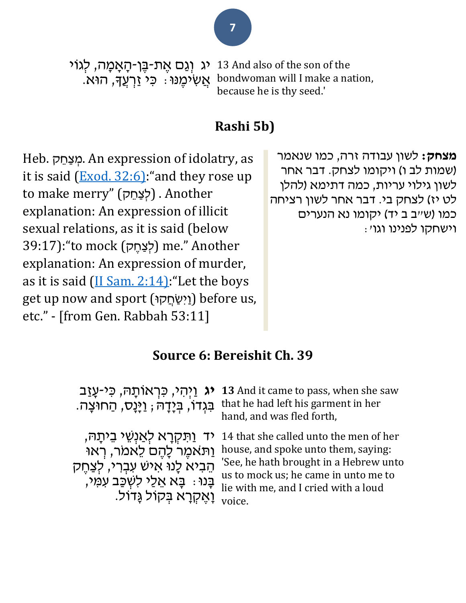יג וְגַם אֶת-בֶּן-הָאָמָה, לְגוֹי ּאֲשִׁיכֶ*וּ*נוּ : כִּי זַרְעֲךָּ, הוּא. 13 And also of the son of the bondwoman will I make a nation, because he is thy seed.'

### **Rashi 5b)**

Heb. מצחק. An expression of idolatry, as it is said  $(Exod. 32:6)$  "and they rose up to make merry" (לְצַחֵק) . Another explanation: An expression of illicit sexual relations, as it is said (below גָּחֵק) me." Another (לְצַחֵק) me." Another explanation: An expression of murder, as it is said  $(II Sam. 2:14)$ : "Let the boys get up now and sport (וּק ֲח ַשִיַו (before us, etc." - [from Gen. Rabbah 53:11]

#### **מצחק:** לשון עבודה זרה, כמו שנאמר (שמות לב ו) ויקומו לצחק. דבר אחר לשון גילוי עריות, כמה דתימא )להלן לט יז) לצחק בי. דבר אחר לשון רציחה כמו (ש״ב ב יד) יקומו נא הנערים וישחקו לפנינו וגו':

### **Source 6: Bereishit Ch. 39**

**יג** וַיְהִ י, כִ רְ אֹותָ ּה, כִ י-עָ זַב ּבִּגְדֹוֹ, בְּיָדָהּ ; וַיְּנָס, הַחוּצָה.

**13** And it came to pass, when she saw that he had left his garment in her hand, and was fled forth,

יד <u>וַ</u>תִּקְרָא לְאַנְשֵׁי בֵיתַהּ, וַת ֹּאמֶ ר לָהֶ ם לֵאמֹּר, רְ אּו הֵבִיא לָנוּ אִישׁ עִבְרִי, לְצַחֶק ָבָנוּ: בָא אֵלַי לִשְׁכַּב עִמֵי, וָאֶ קְ רָ א בְ קֹול גָדֹול.

14 that she called unto the men of her house, and spoke unto them, saying: 'See, he hath brought in a Hebrew unto us to mock us; he came in unto me to lie with me, and I cried with a loud voice.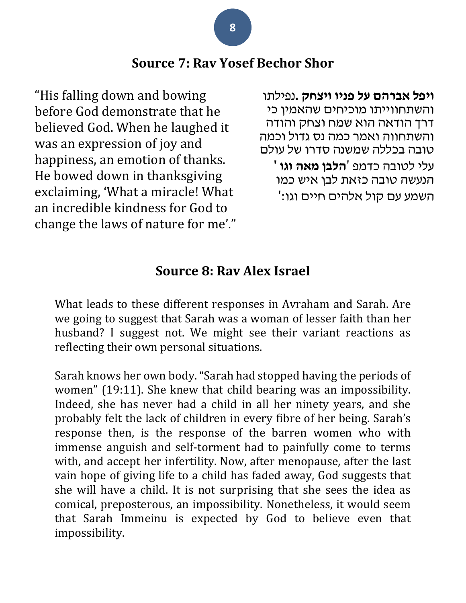#### **Source 7: Rav Yosef Bechor Shor**

"His falling down and bowing before God demonstrate that he believed God. When he laughed it was an expression of joy and happiness, an emotion of thanks. He bowed down in thanksgiving exclaiming, 'What a miracle! What an incredible kindness for God to change the laws of nature for me'."

**ויפל אברהם על פניו ויצחק .**נפילתו והשתחווייתו מוכיחים שהאמין כי דרך הודאה הוא שמח וצחק והודה והשתחווה ואמר כמה נס גדול וכמה טובה בכללה שמשנה סדרו של עולם עלי לטובה כדמפ '**הלבן מאה וגו '** הנעשה טובה כזאת לבן איש כמו השמע עם קול אלהים חיים וגו:'

#### **Source 8: Rav Alex Israel**

What leads to these different responses in Avraham and Sarah. Are we going to suggest that Sarah was a woman of lesser faith than her husband? I suggest not. We might see their variant reactions as reflecting their own personal situations.

Sarah knows her own body. "Sarah had stopped having the periods of women" (19:11). She knew that child bearing was an impossibility. Indeed, she has never had a child in all her ninety years, and she probably felt the lack of children in every fibre of her being. Sarah's response then, is the response of the barren women who with immense anguish and self-torment had to painfully come to terms with, and accept her infertility. Now, after menopause, after the last vain hope of giving life to a child has faded away, God suggests that she will have a child. It is not surprising that she sees the idea as comical, preposterous, an impossibility. Nonetheless, it would seem that Sarah Immeinu is expected by God to believe even that impossibility.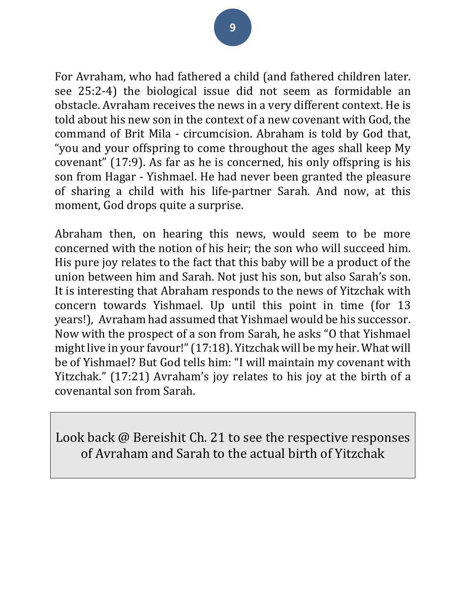For Avraham, who had fathered a child (and fathered children later. see 25:2-4) the biological issue did not seem as formidable an obstacle. Avraham receives the news in a very different context. He is told about his new son in the context of a new covenant with God, the command of Brit Mila - circumcision. Abraham is told by God that, "you and your offspring to come throughout the ages shall keep My covenant" (17:9). As far as he is concerned, his only offspring is his son from Hagar - Yishmael. He had never been granted the pleasure of sharing a child with his life-partner Sarah. And now, at this moment, God drops quite a surprise.

Abraham then, on hearing this news, would seem to be more concerned with the notion of his heir; the son who will succeed him. His pure joy relates to the fact that this baby will be a product of the union between him and Sarah. Not just his son, but also Sarah's son. It is interesting that Abraham responds to the news of Yitzchak with concern towards Yishmael. Up until this point in time (for 13 years!), Avraham had assumed that Yishmael would be his successor. Now with the prospect of a son from Sarah, he asks "O that Yishmael might live in your favour!" (17:18). Yitzchak will be my heir. What will be of Yishmael? But God tells him: "I will maintain my covenant with Yitzchak." (17:21) Avraham's joy relates to his joy at the birth of a covenantal son from Sarah.

Look back @ Bereishit Ch. 21 to see the respective responses of Avraham and Sarah to the actual birth of Yitzchak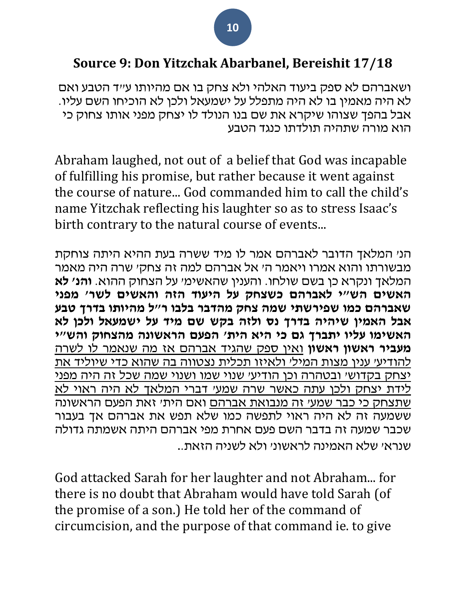### **Source 9: Don Yitzchak Abarbanel, Bereishit 17/18**

ושאברהם לא ספק ביעוד האלהי ולא צחק בו אם מהיותו ע"ד הטבע ואם לא היה מאמין בו לא היה מתפלל על ישמעאל ולכן לא הוכיחו השם עליו. אבל בהפך שצוהו שיקרא את שם בנו הנולד לו יצחק מפני אותו צחוק כי הוא מורה שתהיה תולדתו כנגד הטבע

Abraham laughed, not out of a belief that God was incapable of fulfilling his promise, but rather because it went against the course of nature... God commanded him to call the child's name Yitzchak reflecting his laughter so as to stress Isaac's birth contrary to the natural course of events...

הנ' המלאך הדובר לאברהם אמר לו מיד ששרה בעת ההיא היתה צוחקת מבשורתו והוא אמרו ויאמר ה' אל אברהם למה זה צחק' שרה היה מאמר המלאך ונקרא כן בשם שולחו. והענין שהאשימ' על הצחוק ההוא. **והנ' לא האשים הש"י לאברהם כשצחק על היעוד הזה והאשים לשר' מפני שאברהם כמו שפירשתי שמה צחק מהדבר בלבו ר "ל מהיותו בדרך טבע אבל האמין שיהיה בדרך נס ולזה בקש שם מיד על ישמעאל ולכן לא האשימו עליו יתברך גם כי היא הית' הפעם הראשונה מהצחוק והש"י מעביר ראשון ראשון** ואין ספק שהגיד אברהם אז מה שנאמר לו לשרה להודיע' ענין מצות המיל' ולאיזו תכלית נצטווה בה שהוא כדי שיוליד את יצחק בקדוש' ובטהרה וכן הודיע' שנוי שמו ושנוי שמה שכל זה היה מפני לידת יצחק ולכן עתה כאשר שרה שמע' דברי המלאך לא היה ראוי לא שתצחק כי כבר שמע' זה מנבואת אברהם ואם הית' זאת הפעם הראשונה ששמעה זה לא היה ראוי לתפשה כמו שלא תפש את אברהם אך בעבור שכבר שמעה זה בדבר השם פעם אחרת מפי אברהם היתה אשמתה גדולה שנרא' שלא האמינה לראשונ' ולא לשניה הזאת..

God attacked Sarah for her laughter and not Abraham... for there is no doubt that Abraham would have told Sarah (of the promise of a son.) He told her of the command of circumcision, and the purpose of that command ie. to give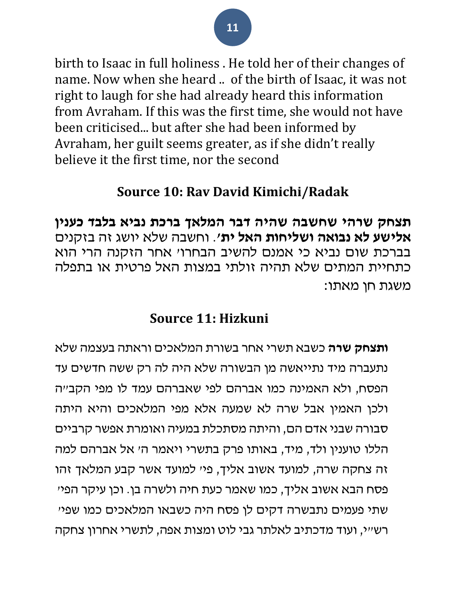birth to Isaac in full holiness . He told her of their changes of name. Now when she heard .. of the birth of Isaac, it was not right to laugh for she had already heard this information from Avraham. If this was the first time, she would not have been criticised... but after she had been informed by Avraham, her guilt seems greater, as if she didn't really believe it the first time, nor the second

### **Source 10: Rav David Kimichi/Radak**

**תצחק שרהי שחשבה שהיה דבר המלאך ברכת נביא בלבד כענין אלישע לא נבואה ושליחות האל ית'**. וחשבה שלא יושג זה בזקנים בברכת שום נביא כי אמנם להשיב הבחרו' אחר הזקנה הרי הוא כתחיית המתים שלא תהיה זולתי במצות האל פרטית או בתפלה משגת חן מאתו:

### **Source 11: Hizkuni**

**ותצחק שרה** כשבא תשרי אחר בשורת המלאכים וראתה בעצמה שלא נתעברה מיד נתייאשה מן הבשורה שלא היה לה רק ששה חדשים עד הפסח, ולא האמינה כמו אברהם לפי שאברהם עמד לו מפי הקב״ה ולכן האמין אבל שרה לא שמעה אלא מפי המלאכים והיא היתה סבורה שבני אדם הם, והיתה מסתכלת במעיה ואומרת אפשר קרביים הללו טוענין ולד, מיד, באותו פרק בתשרי ויאמר ה׳ אל אברהם למה זה צחקה שרה, למועד אשוב אליך, פי׳ למועד אשר קבע המלאך זהו פסח הבא אשוב אליך, כמו שאמר כעת חיה ולשרה בן. וכן עיקר הפי׳ שתי פעמים נתבשרה דקים לן פסח היה כשבאו המלאכים כמו שפי׳ רש״י, ועוד מדכתיב לאלתר גבי לוט ומצות אפה, לתשרי אחרון צחקה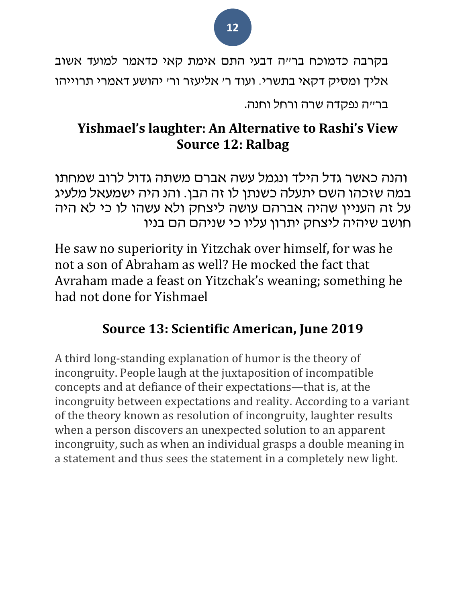

בר״ה נפקדה שרה ורחל וחנה.

# **Yishmael's laughter: An Alternative to Rashi's View Source 12: Ralbag**

והנה כאשר גדל הילד ונגמל עשה אברם משתה גדול לרוב שמחתו במה שזכהו השם יתעלה כשנתן לו זה הבן. והנ היה ישמעאל מלעיג על זה העניין שהיה אברהם עושה ליצחק ולא עשהו לו כי לא היה חושב שיהיה ליצחק יתרון עליו כי שניה ם הם בניו

He saw no superiority in Yitzchak over himself, for was he not a son of Abraham as well? He mocked the fact that Avraham made a feast on Yitzchak's weaning; something he had not done for Yishmael

# **Source 13: Scientific American, June 2019**

A third long-standing explanation of humor is the theory of incongruity. People laugh at the juxtaposition of incompatible concepts and at defiance of their expectations—that is, at the incongruity between expectations and reality. According to a variant of the theory known as resolution of incongruity, laughter results when a person discovers an unexpected solution to an apparent incongruity, such as when an individual grasps a double meaning in a statement and thus sees the statement in a completely new light.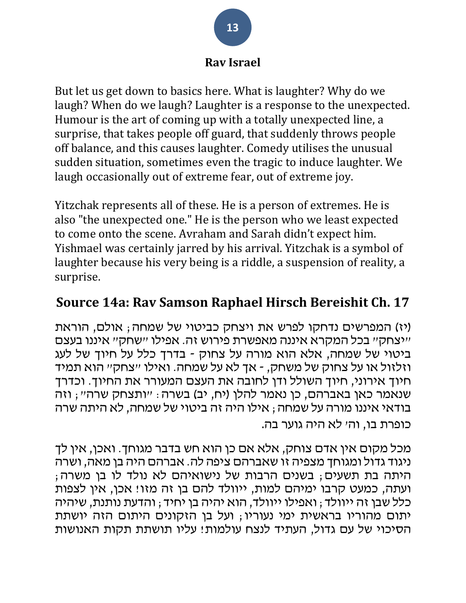#### **Rav Israel**

But let us get down to basics here. What is laughter? Why do we laugh? When do we laugh? Laughter is a response to the unexpected. Humour is the art of coming up with a totally unexpected line, a surprise, that takes people off guard, that suddenly throws people off balance, and this causes laughter. Comedy utilises the unusual sudden situation, sometimes even the tragic to induce laughter. We laugh occasionally out of extreme fear, out of extreme joy.

Yitzchak represents all of these. He is a person of extremes. He is also "the unexpected one." He is the person who we least expected to come onto the scene. Avraham and Sarah didn't expect him. Yishmael was certainly jarred by his arrival. Yitzchak is a symbol of laughter because his very being is a riddle, a suspension of reality, a surprise.

### **Source 14a: Rav Samson Raphael Hirsch Bereishit Ch. 17**

)יז( המפרשים נדחקו לפרש את ויצחק כביטוי של שמחה; אולם , הוראת "יצחק" בכל המקרא איננה מאפשרת פירוש זה. אפילו " שחק" איננו בעצם ביטוי של שמחה, אלא הוא מורה על צחוק - בדרך כלל על חיוך של לעג וזלזול או על צחוק של משחק , - אך לא על שמחה . ואילו "צחק" הוא תמיד חיוך אירוני, חיוך השולל ודן לחובה את העצם המעורר את החיוך. וכדרך שנאמר כאן באברהם, כן נאמר להלן (יח, יב) בשרה: "ותצחק שרה"; וזה בודאי איננו מורה על שמחה; אילו היה זה ביטוי של שמחה, לא היתה שרה כופרת בו, וה' לא היה גוער בה.

מכל מקום אין אדם צוחק, אלא אם כן הוא חש בדבר מגוחך. ואכן, אין לך ניגוד גדול ומגוחך מצפיה זו שאברהם ציפה לה . אברהם היה בן מאה, ושרה היתה בת תשעים; בשנים הרבות של נישואיהם לא נולד לו בן משרה; ועתה, כמעט קרבו ימיהם למות, ייוולד להם בן זה מזו! אכן, אין לצפות כלל שבן זה ייוולד; ואפילו ייוולד, הוא יהיה בן יחיד; והדעת נותנת, שיהיה יתום מהוריו בראשית ימי נעוריו; ועל בן הזקונים היתום הזה יושתת הסיכוי של עם גדול, העתיד לנצח עולמות! עליו תושתת תקות האנושות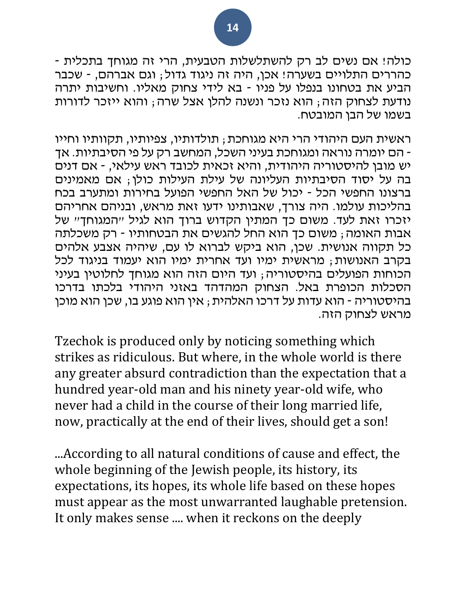כולה! אם נשים לב רק להשתלשלות הטבעית, הרי זה מגוחך בתכלית - כהררים התלויים בשערה! אכן, היה זה ניגוד גדול; וגם אברהם, - שכבר הביע את בטחונו בנפלו על פניו - בא לידי צחוק מאליו. וחשיבות יתרה נודעת לצחוק הזה; הוא נזכר ונשנה להלן אצל שרה; והוא ייזכר לדורות בשמו של הבן המובטח.

ראשית העם היהודי הרי היא מגוחכת ; תולדותיו, צפיותיו, תקוותיו וחייו - הם יומרה נוראה ומגוחכת בעיני השכל, המחשב רק על פי הסיבתיות. אך יש מובן להיסטוריה היהודית, והיא זכאית לכובד ראש עילאי, - אם דנים בה על יסוד הסיבתיות העליונה של עילת העילות כולן; אם מאמינים ברצונו החפשי הכל - יכול של האל החפשי הפועל בחירות ומתערב בכח בהליכות עולמו. היה צורך, שאבותינו ידעו זאת מראש, ובניהם אחריהם יזכרו זאת לעד. משום כך המתין הקדוש ברוך הוא לגיל "המגוחך" של אבות האומה; משום כך הוא החל להגשים את הבטחותיו - רק משכלתה כל תקווה אנושית . שכן, הוא ביקש לברוא לו עם, שיהיה אצבע אלהים בקרב האנושות; מראשית ימיו ועד אחרית ימיו הוא יעמוד בניגוד לכל הכוחות הפועלים בהיסטוריה; ועד היום הזה הוא מגוחך לחלוטין בעיני הסכלות הכופרת באל. הצחוק המהדהד באזני היהודי בלכתו בדרכו בהיסטוריה - הוא עדות על דרכו האלהית; אין הוא פוגע בו, שכן הוא מוכן מראש לצחוק הזה.

Tzechok is produced only by noticing something which strikes as ridiculous. But where, in the whole world is there any greater absurd contradiction than the expectation that a hundred year-old man and his ninety year-old wife, who never had a child in the course of their long married life, now, practically at the end of their lives, should get a son!

...According to all natural conditions of cause and effect, the whole beginning of the Jewish people, its history, its expectations, its hopes, its whole life based on these hopes must appear as the most unwarranted laughable pretension. It only makes sense .... when it reckons on the deeply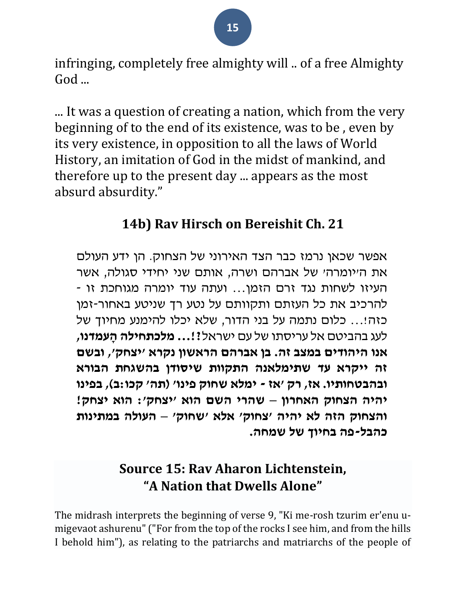infringing, completely free almighty will .. of a free Almighty God ...

... It was a question of creating a nation, which from the very beginning of to the end of its existence, was to be , even by its very existence, in opposition to all the laws of World History, an imitation of God in the midst of mankind, and therefore up to the present day ... appears as the most absurd absurdity."

# **14b) Rav Hirsch on Bereishit Ch. 21**

אפשר שכאן נרמז כבר הצד האירוני של הצחוק. הן ידע העולם את ה'יומרה' של אברהם ושרה, אותם שני יחידי סגולה, אשר העיזו לשחות נגד זרם הזמן... ועתה עוד יומרה מגוחכת זו - להרכיב את כל העזתם ותקוותם על נטע רך שניטע באחור-זמן כזה!... כלום נתמה על בני הדור, שלא יכלו להימנע מחיוך של לעג בהביטם אל עריסתו של עם ישראל**?!... מלכתחילה הָ עמדנו, אנו היהודים במצב זה. בן אברהם הראשון נקרא 'יצחק', ובשם זה ייקרא עד שתימלאנה התקוות שיסודן בהשגחת הבורא ובהבטחותיו. אז, רק 'אז - ימלא שחוק פינו' )תה' קכו:ב(, בפינו יהיה הצחוק האחרון – שהרי השם הוא 'יצחק': הוא יצחק! והצחוק הזה לא יהיה 'צחוק' אלא 'שחוק' – העולה ב מתינות כהבל-פה בחיוך של שמחה.**

# **Source 15: Rav Aharon Lichtenstein, "A Nation that Dwells Alone"**

The midrash interprets the beginning of verse 9, "Ki me-rosh tzurim er'enu umigevaot ashurenu" ("For from the top of the rocks I see him, and from the hills I behold him"), as relating to the patriarchs and matriarchs of the people of